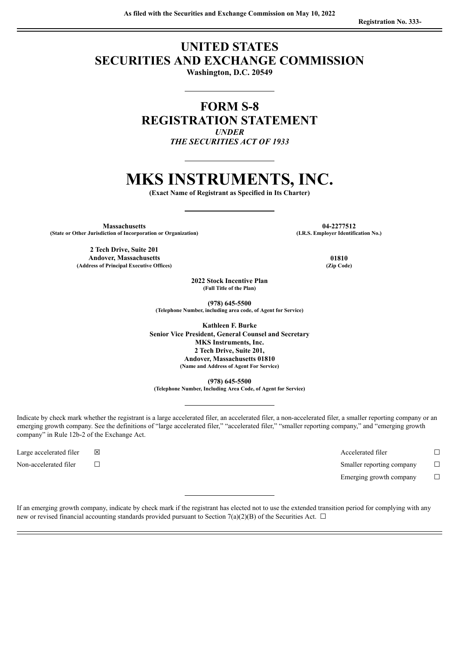# **UNITED STATES SECURITIES AND EXCHANGE COMMISSION**

**Washington, D.C. 20549**

**FORM S-8 REGISTRATION STATEMENT** *UNDER THE SECURITIES ACT OF 1933*

# **MKS INSTRUMENTS, INC.**

**(Exact Name of Registrant as Specified in Its Charter)**

**Massachusetts 04-2277512 (State** or Other Jurisdiction of Incorporation or Organization)

**2 Tech Drive, Suite 201 Andover, Massachusetts 01810 (Address of Principal Executive Offices) (Zip Code)**

**2022 Stock Incentive Plan (Full Title of the Plan)**

**(978) 645-5500 (Telephone Number, including area code, of Agent for Service)**

**Kathleen F. Burke Senior Vice President, General Counsel and Secretary MKS Instruments, Inc. 2 Tech Drive, Suite 201, Andover, Massachusetts 01810 (Name and Address of Agent For Service)**

**(978) 645-5500 (Telephone Number, Including Area Code, of Agent for Service)**

Indicate by check mark whether the registrant is a large accelerated filer, an accelerated filer, a non-accelerated filer, a smaller reporting company or an emerging growth company. See the definitions of "large accelerated filer," "accelerated filer," "smaller reporting company," and "emerging growth company" in Rule 12b-2 of the Exchange Act.

Large accelerated filer ☒ Accelerated filer ☐ Non-accelerated filer ☐ Smaller reporting company ☐ Emerging growth company  $\Box$ 

If an emerging growth company, indicate by check mark if the registrant has elected not to use the extended transition period for complying with any new or revised financial accounting standards provided pursuant to Section 7(a)(2)(B) of the Securities Act.  $\Box$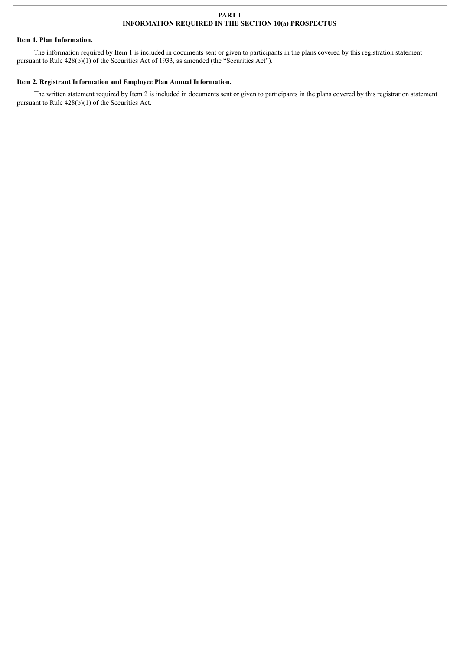# **PART I INFORMATION REQUIRED IN THE SECTION 10(a) PROSPECTUS**

# **Item 1. Plan Information.**

The information required by Item 1 is included in documents sent or given to participants in the plans covered by this registration statement pursuant to Rule  $428(b)(1)$  of the Securities Act of 1933, as amended (the "Securities Act").

# **Item 2. Registrant Information and Employee Plan Annual Information.**

The written statement required by Item 2 is included in documents sent or given to participants in the plans covered by this registration statement pursuant to Rule 428(b)(1) of the Securities Act.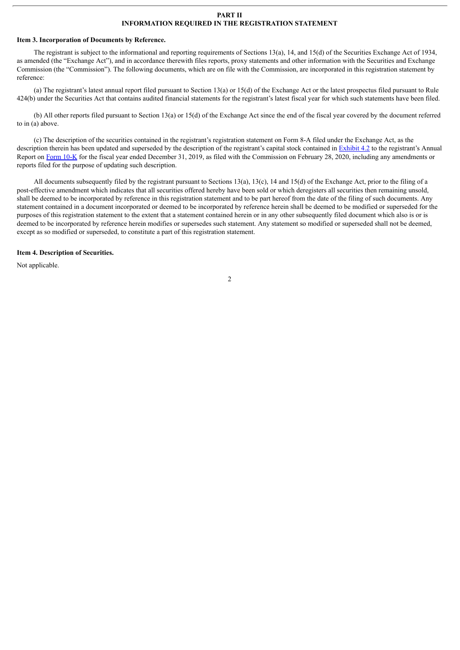#### **PART II INFORMATION REQUIRED IN THE REGISTRATION STATEMENT**

#### **Item 3. Incorporation of Documents by Reference.**

The registrant is subject to the informational and reporting requirements of Sections 13(a), 14, and 15(d) of the Securities Exchange Act of 1934, as amended (the "Exchange Act"), and in accordance therewith files reports, proxy statements and other information with the Securities and Exchange Commission (the "Commission"). The following documents, which are on file with the Commission, are incorporated in this registration statement by reference:

(a) The registrant's latest annual report filed pursuant to Section 13(a) or 15(d) of the Exchange Act or the latest prospectus filed pursuant to Rule 424(b) under the Securities Act that contains audited financial statements for the registrant's latest fiscal year for which such statements have been filed.

(b) All other reports filed pursuant to Section 13(a) or 15(d) of the Exchange Act since the end of the fiscal year covered by the document referred to in (a) above.

(c) The description of the securities contained in the registrant's registration statement on Form 8-A filed under the Exchange Act, as the description therein has been updated and superseded by the description of the registrant's capital stock contained in [Exhibit](http://www.sec.gov/Archives/edgar/data/1049502/000119312520056028/d114808dex42.htm) 4.2 to the registrant's Annual Report on [Form](http://www.sec.gov/ix?doc=/Archives/edgar/data/1049502/000119312520056028/d114808d10k.htm) 10-K for the fiscal year ended December 31, 2019, as filed with the Commission on February 28, 2020, including any amendments or reports filed for the purpose of updating such description.

All documents subsequently filed by the registrant pursuant to Sections 13(a), 13(c), 14 and 15(d) of the Exchange Act, prior to the filing of a post-effective amendment which indicates that all securities offered hereby have been sold or which deregisters all securities then remaining unsold, shall be deemed to be incorporated by reference in this registration statement and to be part hereof from the date of the filing of such documents. Any statement contained in a document incorporated or deemed to be incorporated by reference herein shall be deemed to be modified or superseded for the purposes of this registration statement to the extent that a statement contained herein or in any other subsequently filed document which also is or is deemed to be incorporated by reference herein modifies or supersedes such statement. Any statement so modified or superseded shall not be deemed, except as so modified or superseded, to constitute a part of this registration statement.

#### **Item 4. Description of Securities.**

Not applicable.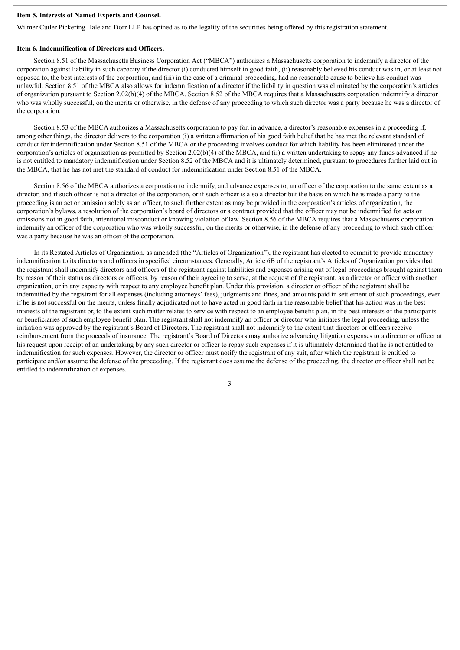# **Item 5. Interests of Named Experts and Counsel.**

Wilmer Cutler Pickering Hale and Dorr LLP has opined as to the legality of the securities being offered by this registration statement.

#### **Item 6. Indemnification of Directors and Officers.**

Section 8.51 of the Massachusetts Business Corporation Act ("MBCA") authorizes a Massachusetts corporation to indemnify a director of the corporation against liability in such capacity if the director (i) conducted himself in good faith, (ii) reasonably believed his conduct was in, or at least not opposed to, the best interests of the corporation, and (iii) in the case of a criminal proceeding, had no reasonable cause to believe his conduct was unlawful. Section 8.51 of the MBCA also allows for indemnification of a director if the liability in question was eliminated by the corporation's articles of organization pursuant to Section 2.02(b)(4) of the MBCA. Section 8.52 of the MBCA requires that a Massachusetts corporation indemnify a director who was wholly successful, on the merits or otherwise, in the defense of any proceeding to which such director was a party because he was a director of the corporation.

Section 8.53 of the MBCA authorizes a Massachusetts corporation to pay for, in advance, a director's reasonable expenses in a proceeding if, among other things, the director delivers to the corporation (i) a written affirmation of his good faith belief that he has met the relevant standard of conduct for indemnification under Section 8.51 of the MBCA or the proceeding involves conduct for which liability has been eliminated under the corporation's articles of organization as permitted by Section 2.02(b)(4) of the MBCA, and (ii) a written undertaking to repay any funds advanced if he is not entitled to mandatory indemnification under Section 8.52 of the MBCA and it is ultimately determined, pursuant to procedures further laid out in the MBCA, that he has not met the standard of conduct for indemnification under Section 8.51 of the MBCA.

Section 8.56 of the MBCA authorizes a corporation to indemnify, and advance expenses to, an officer of the corporation to the same extent as a director, and if such officer is not a director of the corporation, or if such officer is also a director but the basis on which he is made a party to the proceeding is an act or omission solely as an officer, to such further extent as may be provided in the corporation's articles of organization, the corporation's bylaws, a resolution of the corporation's board of directors or a contract provided that the officer may not be indemnified for acts or omissions not in good faith, intentional misconduct or knowing violation of law. Section 8.56 of the MBCA requires that a Massachusetts corporation indemnify an officer of the corporation who was wholly successful, on the merits or otherwise, in the defense of any proceeding to which such officer was a party because he was an officer of the corporation.

In its Restated Articles of Organization, as amended (the "Articles of Organization"), the registrant has elected to commit to provide mandatory indemnification to its directors and officers in specified circumstances. Generally, Article 6B of the registrant's Articles of Organization provides that the registrant shall indemnify directors and officers of the registrant against liabilities and expenses arising out of legal proceedings brought against them by reason of their status as directors or officers, by reason of their agreeing to serve, at the request of the registrant, as a director or officer with another organization, or in any capacity with respect to any employee benefit plan. Under this provision, a director or officer of the registrant shall be indemnified by the registrant for all expenses (including attorneys' fees), judgments and fines, and amounts paid in settlement of such proceedings, even if he is not successful on the merits, unless finally adjudicated not to have acted in good faith in the reasonable belief that his action was in the best interests of the registrant or, to the extent such matter relates to service with respect to an employee benefit plan, in the best interests of the participants or beneficiaries of such employee benefit plan. The registrant shall not indemnify an officer or director who initiates the legal proceeding, unless the initiation was approved by the registrant's Board of Directors. The registrant shall not indemnify to the extent that directors or officers receive reimbursement from the proceeds of insurance. The registrant's Board of Directors may authorize advancing litigation expenses to a director or officer at his request upon receipt of an undertaking by any such director or officer to repay such expenses if it is ultimately determined that he is not entitled to indemnification for such expenses. However, the director or officer must notify the registrant of any suit, after which the registrant is entitled to participate and/or assume the defense of the proceeding. If the registrant does assume the defense of the proceeding, the director or officer shall not be entitled to indemnification of expenses.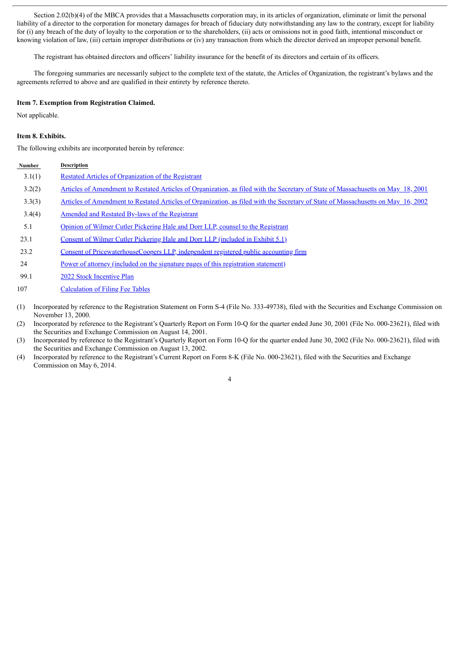Section 2.02(b)(4) of the MBCA provides that a Massachusetts corporation may, in its articles of organization, eliminate or limit the personal liability of a director to the corporation for monetary damages for breach of fiduciary duty notwithstanding any law to the contrary, except for liability for (i) any breach of the duty of loyalty to the corporation or to the shareholders, (ii) acts or omissions not in good faith, intentional misconduct or knowing violation of law, (iii) certain improper distributions or (iv) any transaction from which the director derived an improper personal benefit.

The registrant has obtained directors and officers' liability insurance for the benefit of its directors and certain of its officers.

The foregoing summaries are necessarily subject to the complete text of the statute, the Articles of Organization, the registrant's bylaws and the agreements referred to above and are qualified in their entirety by reference thereto.

# **Item 7. Exemption from Registration Claimed.**

Not applicable.

# **Item 8. Exhibits.**

The following exhibits are incorporated herein by reference:

# **Number Description** 3.1(1) Restated Articles of [Organization](http://www.sec.gov/Archives/edgar/data/1049502/000095013500004962/b36621mkex3-1.txt) of the Registrant 3.2(2) Articles of Amendment to Restated Articles of Organization, as filed with the Secretary of State of [Massachusetts](http://www.sec.gov/Archives/edgar/data/1049502/000095013501502490/b40081mkex3-5.txt) on May 18, 2001 3.3(3) Articles of Amendment to Restated Articles of Organization, as filed with the Secretary of State of [Massachusetts](http://www.sec.gov/Archives/edgar/data/1049502/000095013502003710/b43684mkexv3w5.txt) on May 16, 2002 3.4(4) Amended and Restated By-laws of the [Registrant](http://www.sec.gov/Archives/edgar/data/1049502/000119312514184843/d719555dex31.htm) 5.1 Opinion of Wilmer Cutler Pickering Hale and Dorr LLP, counsel to the [Registrant](#page-8-0) 23.1 Consent of Wilmer Cutler [Pickering](#page-8-0) Hale and Dorr LLP (included in Exhibit 5.1) 23.2 Consent of [PricewaterhouseCoopers](#page-10-0) LLP, independent registered public accounting firm 24 Power of attorney (included on the signature pages of this [registration](#page-6-0) statement)

- 99.1 2022 Stock [Incentive](#page-11-0) Plan
- 107 [Calculation](#page-22-0) of Filing Fee Tables
- (1) Incorporated by reference to the Registration Statement on Form S-4 (File No. 333-49738), filed with the Securities and Exchange Commission on November 13, 2000.
- (2) Incorporated by reference to the Registrant's Quarterly Report on Form 10-Q for the quarter ended June 30, 2001 (File No. 000-23621), filed with the Securities and Exchange Commission on August 14, 2001.
- (3) Incorporated by reference to the Registrant's Quarterly Report on Form 10-Q for the quarter ended June 30, 2002 (File No. 000-23621), filed with the Securities and Exchange Commission on August 13, 2002.
- (4) Incorporated by reference to the Registrant's Current Report on Form 8-K (File No. 000-23621), filed with the Securities and Exchange Commission on May 6, 2014.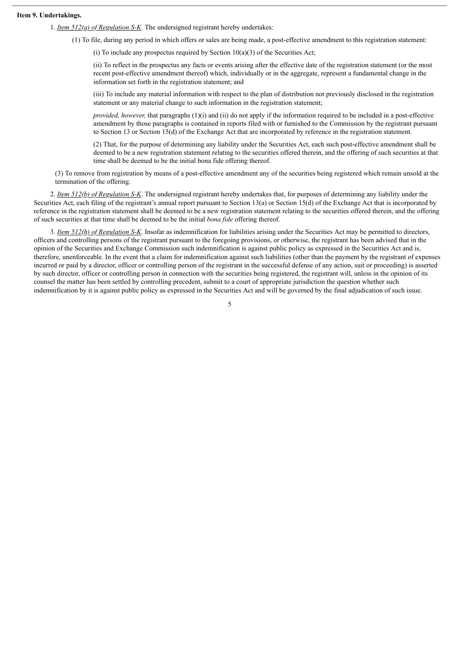# **Item 9. Undertakings.**

1. *Item 512(a) of Regulation S-K*. The undersigned registrant hereby undertakes:

(1) To file, during any period in which offers or sales are being made, a post-effective amendment to this registration statement:

(i) To include any prospectus required by Section  $10(a)(3)$  of the Securities Act;

(ii) To reflect in the prospectus any facts or events arising after the effective date of the registration statement (or the most recent post-effective amendment thereof) which, individually or in the aggregate, represent a fundamental change in the information set forth in the registration statement; and

(iii) To include any material information with respect to the plan of distribution not previously disclosed in the registration statement or any material change to such information in the registration statement;

*provided, however,* that paragraphs (1)(i) and (ii) do not apply if the information required to be included in a post-effective amendment by those paragraphs is contained in reports filed with or furnished to the Commission by the registrant pursuant to Section 13 or Section 15(d) of the Exchange Act that are incorporated by reference in the registration statement.

(2) That, for the purpose of determining any liability under the Securities Act, each such post-effective amendment shall be deemed to be a new registration statement relating to the securities offered therein, and the offering of such securities at that time shall be deemed to be the initial bona fide offering thereof.

(3) To remove from registration by means of a post-effective amendment any of the securities being registered which remain unsold at the termination of the offering.

2. *Item 512(b) of Regulation S-K*. The undersigned registrant hereby undertakes that, for purposes of determining any liability under the Securities Act, each filing of the registrant's annual report pursuant to Section 13(a) or Section 15(d) of the Exchange Act that is incorporated by reference in the registration statement shall be deemed to be a new registration statement relating to the securities offered therein, and the offering of such securities at that time shall be deemed to be the initial *bona fide* offering thereof.

3. *Item 512(h) of Regulation S-K*. Insofar as indemnification for liabilities arising under the Securities Act may be permitted to directors, officers and controlling persons of the registrant pursuant to the foregoing provisions, or otherwise, the registrant has been advised that in the opinion of the Securities and Exchange Commission such indemnification is against public policy as expressed in the Securities Act and is, therefore, unenforceable. In the event that a claim for indemnification against such liabilities (other than the payment by the registrant of expenses incurred or paid by a director, officer or controlling person of the registrant in the successful defense of any action, suit or proceeding) is asserted by such director, officer or controlling person in connection with the securities being registered, the registrant will, unless in the opinion of its counsel the matter has been settled by controlling precedent, submit to a court of appropriate jurisdiction the question whether such indemnification by it is against public policy as expressed in the Securities Act and will be governed by the final adjudication of such issue.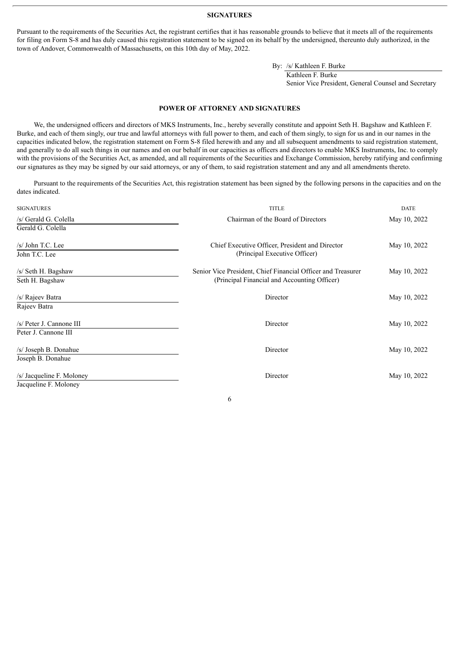#### **SIGNATURES**

<span id="page-6-0"></span>Pursuant to the requirements of the Securities Act, the registrant certifies that it has reasonable grounds to believe that it meets all of the requirements for filing on Form S-8 and has duly caused this registration statement to be signed on its behalf by the undersigned, thereunto duly authorized, in the town of Andover, Commonwealth of Massachusetts, on this 10th day of May, 2022.

By: /s/ Kathleen F. Burke

Kathleen F. Burke

Senior Vice President, General Counsel and Secretary

#### **POWER OF ATTORNEY AND SIGNATURES**

We, the undersigned officers and directors of MKS Instruments, Inc., hereby severally constitute and appoint Seth H. Bagshaw and Kathleen F. Burke, and each of them singly, our true and lawful attorneys with full power to them, and each of them singly, to sign for us and in our names in the capacities indicated below, the registration statement on Form S-8 filed herewith and any and all subsequent amendments to said registration statement, and generally to do all such things in our names and on our behalf in our capacities as officers and directors to enable MKS Instruments, Inc. to comply with the provisions of the Securities Act, as amended, and all requirements of the Securities and Exchange Commission, hereby ratifying and confirming our signatures as they may be signed by our said attorneys, or any of them, to said registration statement and any and all amendments thereto.

Pursuant to the requirements of the Securities Act, this registration statement has been signed by the following persons in the capacities and on the dates indicated.

| <b>SIGNATURES</b>         | <b>TITLE</b>                                                 | <b>DATE</b>  |  |
|---------------------------|--------------------------------------------------------------|--------------|--|
| /s/ Gerald G. Colella     | Chairman of the Board of Directors                           | May 10, 2022 |  |
| Gerald G. Colella         |                                                              |              |  |
| /s/ John T.C. Lee         | Chief Executive Officer, President and Director              | May 10, 2022 |  |
| John T.C. Lee             | (Principal Executive Officer)                                |              |  |
| /s/ Seth H. Bagshaw       | Senior Vice President, Chief Financial Officer and Treasurer | May 10, 2022 |  |
| Seth H. Bagshaw           | (Principal Financial and Accounting Officer)                 |              |  |
| /s/ Rajeev Batra          | Director                                                     | May 10, 2022 |  |
| Rajeev Batra              |                                                              |              |  |
| /s/ Peter J. Cannone III  | Director                                                     | May 10, 2022 |  |
| Peter J. Cannone III      |                                                              |              |  |
| /s/ Joseph B. Donahue     | Director                                                     | May 10, 2022 |  |
| Joseph B. Donahue         |                                                              |              |  |
| /s/ Jacqueline F. Moloney | Director                                                     | May 10, 2022 |  |
| Jacqueline F. Moloney     |                                                              |              |  |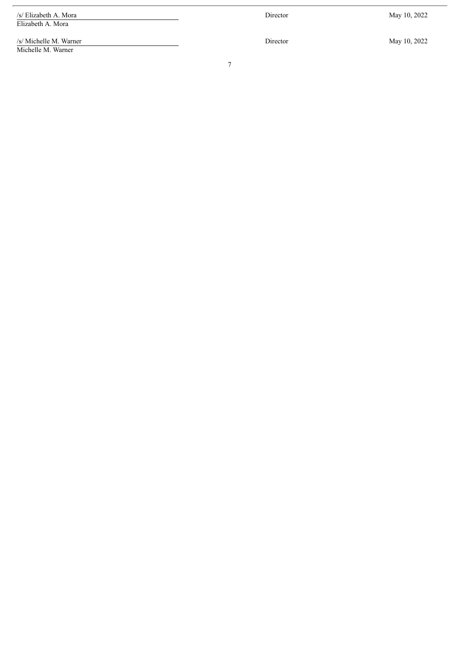/s/ Elizabeth A. Mora Elizabeth A. Mora

/s/ Michelle M. Warner Michelle M. Warner

Director

May 10, 2022

 $\overline{\phantom{a}}$ 

Director

May 10, 2022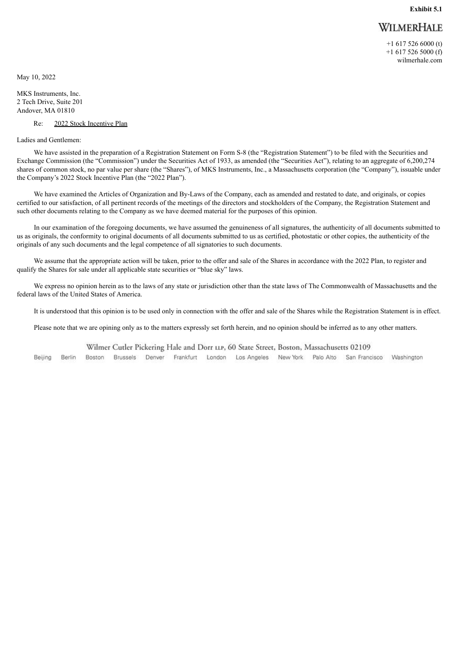# WILMERHALE

+1 617 526 6000 (t) +1 617 526 5000 (f) wilmerhale.com

<span id="page-8-0"></span>May 10, 2022

MKS Instruments, Inc. 2 Tech Drive, Suite 201 Andover, MA 01810

#### Re: 2022 Stock Incentive Plan

Ladies and Gentlemen:

We have assisted in the preparation of a Registration Statement on Form S-8 (the "Registration Statement") to be filed with the Securities and Exchange Commission (the "Commission") under the Securities Act of 1933, as amended (the "Securities Act"), relating to an aggregate of 6,200,274 shares of common stock, no par value per share (the "Shares"), of MKS Instruments, Inc., a Massachusetts corporation (the "Company"), issuable under the Company's 2022 Stock Incentive Plan (the "2022 Plan").

We have examined the Articles of Organization and By-Laws of the Company, each as amended and restated to date, and originals, or copies certified to our satisfaction, of all pertinent records of the meetings of the directors and stockholders of the Company, the Registration Statement and such other documents relating to the Company as we have deemed material for the purposes of this opinion.

In our examination of the foregoing documents, we have assumed the genuineness of all signatures, the authenticity of all documents submitted to us as originals, the conformity to original documents of all documents submitted to us as certified, photostatic or other copies, the authenticity of the originals of any such documents and the legal competence of all signatories to such documents.

We assume that the appropriate action will be taken, prior to the offer and sale of the Shares in accordance with the 2022 Plan, to register and qualify the Shares for sale under all applicable state securities or "blue sky" laws.

We express no opinion herein as to the laws of any state or jurisdiction other than the state laws of The Commonwealth of Massachusetts and the federal laws of the United States of America.

It is understood that this opinion is to be used only in connection with the offer and sale of the Shares while the Registration Statement is in effect.

Please note that we are opining only as to the matters expressly set forth herein, and no opinion should be inferred as to any other matters.

Wilmer Cutler Pickering Hale and Dorr LLP, 60 State Street, Boston, Massachusetts 02109

Brussels Denver Frankfurt London Los Angeles New York Palo Alto San Francisco Beijing Berlin Boston Washington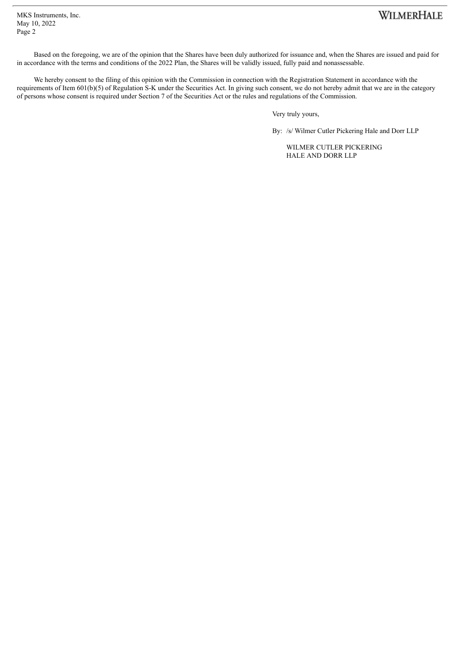MKS Instruments, Inc. May 10, 2022 Page 2

# WILMERHALE

Based on the foregoing, we are of the opinion that the Shares have been duly authorized for issuance and, when the Shares are issued and paid for in accordance with the terms and conditions of the 2022 Plan, the Shares will be validly issued, fully paid and nonassessable.

We hereby consent to the filing of this opinion with the Commission in connection with the Registration Statement in accordance with the requirements of Item 601(b)(5) of Regulation S-K under the Securities Act. In giving such consent, we do not hereby admit that we are in the category of persons whose consent is required under Section 7 of the Securities Act or the rules and regulations of the Commission.

Very truly yours,

By: /s/ Wilmer Cutler Pickering Hale and Dorr LLP

WILMER CUTLER PICKERING HALE AND DORR LLP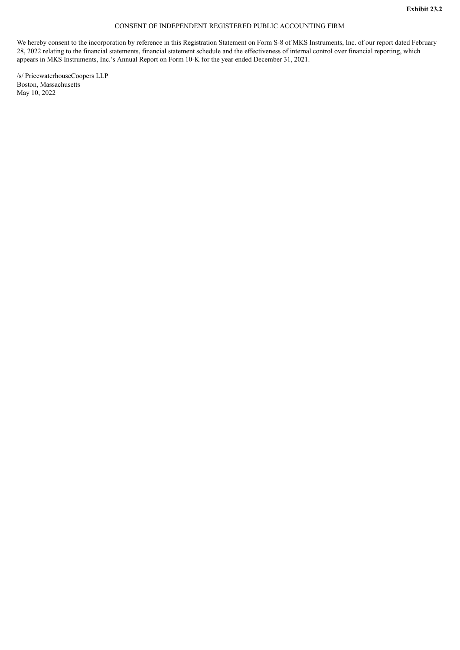# CONSENT OF INDEPENDENT REGISTERED PUBLIC ACCOUNTING FIRM

<span id="page-10-0"></span>We hereby consent to the incorporation by reference in this Registration Statement on Form S-8 of MKS Instruments, Inc. of our report dated February 28, 2022 relating to the financial statements, financial statement schedule and the effectiveness of internal control over financial reporting, which appears in MKS Instruments, Inc.'s Annual Report on Form 10-K for the year ended December 31, 2021.

/s/ PricewaterhouseCoopers LLP Boston, Massachusetts May 10, 2022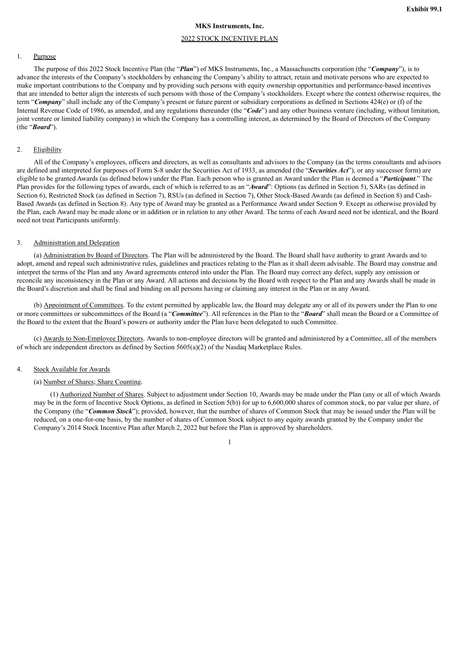# **MKS Instruments, Inc.**

# 2022 STOCK INCENTIVE PLAN

#### <span id="page-11-0"></span>1. Purpose

The purpose of this 2022 Stock Incentive Plan (the "*Plan*") of MKS Instruments, Inc., a Massachusetts corporation (the "*Company*"), is to advance the interests of the Company's stockholders by enhancing the Company's ability to attract, retain and motivate persons who are expected to make important contributions to the Company and by providing such persons with equity ownership opportunities and performance-based incentives that are intended to better align the interests of such persons with those of the Company's stockholders. Except where the context otherwise requires, the term "*Company*" shall include any of the Company's present or future parent or subsidiary corporations as defined in Sections 424(e) or (f) of the Internal Revenue Code of 1986, as amended, and any regulations thereunder (the "*Code*") and any other business venture (including, without limitation, joint venture or limited liability company) in which the Company has a controlling interest, as determined by the Board of Directors of the Company (the "*Board*").

# 2. Eligibility

All of the Company's employees, officers and directors, as well as consultants and advisors to the Company (as the terms consultants and advisors are defined and interpreted for purposes of Form S-8 under the Securities Act of 1933, as amended (the "*Securities Act*"), or any successor form) are eligible to be granted Awards (as defined below) under the Plan. Each person who is granted an Award under the Plan is deemed a "*Participant*." The Plan provides for the following types of awards, each of which is referred to as an "*Award*": Options (as defined in Section 5), SARs (as defined in Section 6), Restricted Stock (as defined in Section 7), RSUs (as defined in Section 7), Other Stock-Based Awards (as defined in Section 8) and Cash-Based Awards (as defined in Section 8). Any type of Award may be granted as a Performance Award under Section 9. Except as otherwise provided by the Plan, each Award may be made alone or in addition or in relation to any other Award. The terms of each Award need not be identical, and the Board need not treat Participants uniformly.

#### 3. Administration and Delegation

(a) Administration by Board of Directors. The Plan will be administered by the Board. The Board shall have authority to grant Awards and to adopt, amend and repeal such administrative rules, guidelines and practices relating to the Plan as it shall deem advisable. The Board may construe and interpret the terms of the Plan and any Award agreements entered into under the Plan. The Board may correct any defect, supply any omission or reconcile any inconsistency in the Plan or any Award. All actions and decisions by the Board with respect to the Plan and any Awards shall be made in the Board's discretion and shall be final and binding on all persons having or claiming any interest in the Plan or in any Award.

(b) Appointment of Committees. To the extent permitted by applicable law, the Board may delegate any or all of its powers under the Plan to one or more committees or subcommittees of the Board (a "*Committee*"). All references in the Plan to the "*Board*" shall mean the Board or a Committee of the Board to the extent that the Board's powers or authority under the Plan have been delegated to such Committee.

(c) Awards to Non-Employee Directors. Awards to non-employee directors will be granted and administered by a Committee, all of the members of which are independent directors as defined by Section 5605(a)(2) of the Nasdaq Marketplace Rules.

#### 4. Stock Available for Awards

#### (a) Number of Shares; Share Counting.

(1) Authorized Number of Shares. Subject to adjustment under Section 10, Awards may be made under the Plan (any or all of which Awards may be in the form of Incentive Stock Options, as defined in Section 5(b)) for up to 6,600,000 shares of common stock, no par value per share, of the Company (the "*Common Stock*"); provided, however, that the number of shares of Common Stock that may be issued under the Plan will be reduced, on a one-for-one basis, by the number of shares of Common Stock subject to any equity awards granted by the Company under the Company's 2014 Stock Incentive Plan after March 2, 2022 but before the Plan is approved by shareholders.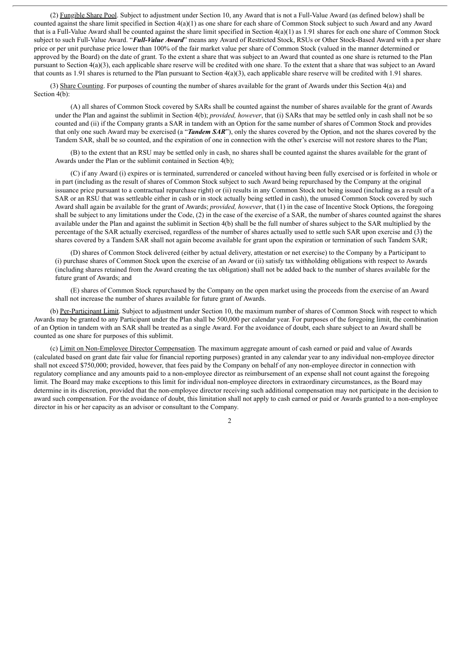(2) Fungible Share Pool. Subject to adjustment under Section 10, any Award that is not a Full-Value Award (as defined below) shall be counted against the share limit specified in Section 4(a)(1) as one share for each share of Common Stock subject to such Award and any Award that is a Full-Value Award shall be counted against the share limit specified in Section 4(a)(1) as 1.91 shares for each one share of Common Stock subject to such Full-Value Award. "*Full-Value Award*" means any Award of Restricted Stock, RSUs or Other Stock-Based Award with a per share price or per unit purchase price lower than 100% of the fair market value per share of Common Stock (valued in the manner determined or approved by the Board) on the date of grant. To the extent a share that was subject to an Award that counted as one share is returned to the Plan pursuant to Section 4(a)(3), each applicable share reserve will be credited with one share. To the extent that a share that was subject to an Award that counts as 1.91 shares is returned to the Plan pursuant to Section  $4(a)(3)$ , each applicable share reserve will be credited with 1.91 shares.

(3) Share Counting. For purposes of counting the number of shares available for the grant of Awards under this Section 4(a) and Section 4(b):

(A) all shares of Common Stock covered by SARs shall be counted against the number of shares available for the grant of Awards under the Plan and against the sublimit in Section 4(b); *provided, however*, that (i) SARs that may be settled only in cash shall not be so counted and (ii) if the Company grants a SAR in tandem with an Option for the same number of shares of Common Stock and provides that only one such Award may be exercised (a "*Tandem SAR*"), only the shares covered by the Option, and not the shares covered by the Tandem SAR, shall be so counted, and the expiration of one in connection with the other's exercise will not restore shares to the Plan;

(B) to the extent that an RSU may be settled only in cash, no shares shall be counted against the shares available for the grant of Awards under the Plan or the sublimit contained in Section 4(b);

(C) if any Award (i) expires or is terminated, surrendered or canceled without having been fully exercised or is forfeited in whole or in part (including as the result of shares of Common Stock subject to such Award being repurchased by the Company at the original issuance price pursuant to a contractual repurchase right) or (ii) results in any Common Stock not being issued (including as a result of a SAR or an RSU that was settleable either in cash or in stock actually being settled in cash), the unused Common Stock covered by such Award shall again be available for the grant of Awards; *provided, however*, that (1) in the case of Incentive Stock Options, the foregoing shall be subject to any limitations under the Code, (2) in the case of the exercise of a SAR, the number of shares counted against the shares available under the Plan and against the sublimit in Section 4(b) shall be the full number of shares subject to the SAR multiplied by the percentage of the SAR actually exercised, regardless of the number of shares actually used to settle such SAR upon exercise and (3) the shares covered by a Tandem SAR shall not again become available for grant upon the expiration or termination of such Tandem SAR;

(D) shares of Common Stock delivered (either by actual delivery, attestation or net exercise) to the Company by a Participant to (i) purchase shares of Common Stock upon the exercise of an Award or (ii) satisfy tax withholding obligations with respect to Awards (including shares retained from the Award creating the tax obligation) shall not be added back to the number of shares available for the future grant of Awards; and

(E) shares of Common Stock repurchased by the Company on the open market using the proceeds from the exercise of an Award shall not increase the number of shares available for future grant of Awards.

(b) Per-Participant Limit. Subject to adjustment under Section 10, the maximum number of shares of Common Stock with respect to which Awards may be granted to any Participant under the Plan shall be 500,000 per calendar year. For purposes of the foregoing limit, the combination of an Option in tandem with an SAR shall be treated as a single Award. For the avoidance of doubt, each share subject to an Award shall be counted as one share for purposes of this sublimit.

(c) Limit on Non-Employee Director Compensation. The maximum aggregate amount of cash earned or paid and value of Awards (calculated based on grant date fair value for financial reporting purposes) granted in any calendar year to any individual non-employee director shall not exceed \$750,000; provided, however, that fees paid by the Company on behalf of any non-employee director in connection with regulatory compliance and any amounts paid to a non-employee director as reimbursement of an expense shall not count against the foregoing limit. The Board may make exceptions to this limit for individual non-employee directors in extraordinary circumstances, as the Board may determine in its discretion, provided that the non-employee director receiving such additional compensation may not participate in the decision to award such compensation. For the avoidance of doubt, this limitation shall not apply to cash earned or paid or Awards granted to a non-employee director in his or her capacity as an advisor or consultant to the Company.

 $\mathcal{L}$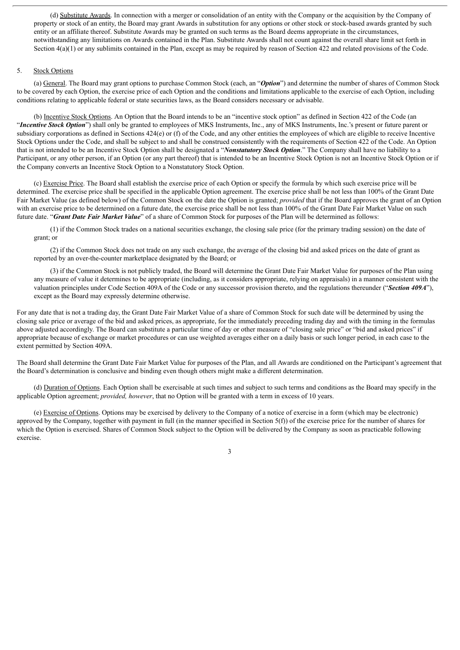(d) Substitute Awards. In connection with a merger or consolidation of an entity with the Company or the acquisition by the Company of property or stock of an entity, the Board may grant Awards in substitution for any options or other stock or stock-based awards granted by such entity or an affiliate thereof. Substitute Awards may be granted on such terms as the Board deems appropriate in the circumstances, notwithstanding any limitations on Awards contained in the Plan. Substitute Awards shall not count against the overall share limit set forth in Section  $4(a)(1)$  or any sublimits contained in the Plan, except as may be required by reason of Section 422 and related provisions of the Code.

# 5. Stock Options

(a) General. The Board may grant options to purchase Common Stock (each, an "*Option*") and determine the number of shares of Common Stock to be covered by each Option, the exercise price of each Option and the conditions and limitations applicable to the exercise of each Option, including conditions relating to applicable federal or state securities laws, as the Board considers necessary or advisable.

(b) Incentive Stock Options. An Option that the Board intends to be an "incentive stock option" as defined in Section 422 of the Code (an "*Incentive Stock Option*") shall only be granted to employees of MKS Instruments, Inc., any of MKS Instruments, Inc.'s present or future parent or subsidiary corporations as defined in Sections 424(e) or (f) of the Code, and any other entities the employees of which are eligible to receive Incentive Stock Options under the Code, and shall be subject to and shall be construed consistently with the requirements of Section 422 of the Code. An Option that is not intended to be an Incentive Stock Option shall be designated a "*Nonstatutory Stock Option*." The Company shall have no liability to a Participant, or any other person, if an Option (or any part thereof) that is intended to be an Incentive Stock Option is not an Incentive Stock Option or if the Company converts an Incentive Stock Option to a Nonstatutory Stock Option.

(c) Exercise Price. The Board shall establish the exercise price of each Option or specify the formula by which such exercise price will be determined. The exercise price shall be specified in the applicable Option agreement. The exercise price shall be not less than 100% of the Grant Date Fair Market Value (as defined below) of the Common Stock on the date the Option is granted; *provided* that if the Board approves the grant of an Option with an exercise price to be determined on a future date, the exercise price shall be not less than 100% of the Grant Date Fair Market Value on such future date. "*Grant Date Fair Market Value*" of a share of Common Stock for purposes of the Plan will be determined as follows:

(1) if the Common Stock trades on a national securities exchange, the closing sale price (for the primary trading session) on the date of grant; or

(2) if the Common Stock does not trade on any such exchange, the average of the closing bid and asked prices on the date of grant as reported by an over-the-counter marketplace designated by the Board; or

(3) if the Common Stock is not publicly traded, the Board will determine the Grant Date Fair Market Value for purposes of the Plan using any measure of value it determines to be appropriate (including, as it considers appropriate, relying on appraisals) in a manner consistent with the valuation principles under Code Section 409A of the Code or any successor provision thereto, and the regulations thereunder ("*Section 409A*"), except as the Board may expressly determine otherwise.

For any date that is not a trading day, the Grant Date Fair Market Value of a share of Common Stock for such date will be determined by using the closing sale price or average of the bid and asked prices, as appropriate, for the immediately preceding trading day and with the timing in the formulas above adjusted accordingly. The Board can substitute a particular time of day or other measure of "closing sale price" or "bid and asked prices" if appropriate because of exchange or market procedures or can use weighted averages either on a daily basis or such longer period, in each case to the extent permitted by Section 409A.

The Board shall determine the Grant Date Fair Market Value for purposes of the Plan, and all Awards are conditioned on the Participant's agreement that the Board's determination is conclusive and binding even though others might make a different determination.

(d) Duration of Options. Each Option shall be exercisable at such times and subject to such terms and conditions as the Board may specify in the applicable Option agreement; *provided, however*, that no Option will be granted with a term in excess of 10 years.

(e) Exercise of Options. Options may be exercised by delivery to the Company of a notice of exercise in a form (which may be electronic) approved by the Company, together with payment in full (in the manner specified in Section  $5(f)$ ) of the exercise price for the number of shares for which the Option is exercised. Shares of Common Stock subject to the Option will be delivered by the Company as soon as practicable following exercise.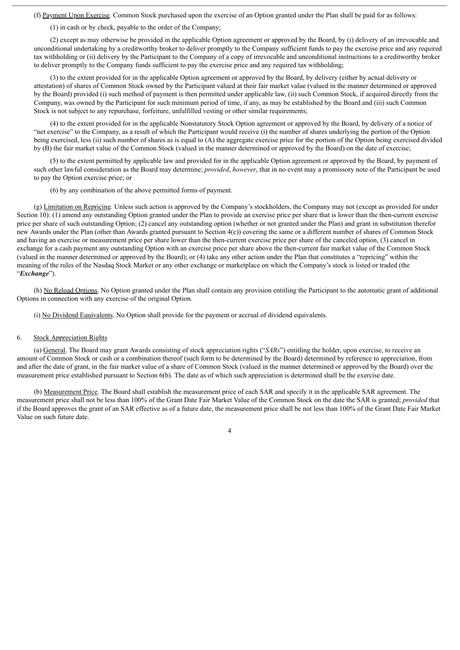(f) Payment Upon Exercise. Common Stock purchased upon the exercise of an Option granted under the Plan shall be paid for as follows:

(1) in cash or by check, payable to the order of the Company;

(2) except as may otherwise be provided in the applicable Option agreement or approved by the Board, by (i) delivery of an irrevocable and unconditional undertaking by a creditworthy broker to deliver promptly to the Company sufficient funds to pay the exercise price and any required tax withholding or (ii) delivery by the Participant to the Company of a copy of irrevocable and unconditional instructions to a creditworthy broker to deliver promptly to the Company funds sufficient to pay the exercise price and any required tax withholding;

(3) to the extent provided for in the applicable Option agreement or approved by the Board, by delivery (either by actual delivery or attestation) of shares of Common Stock owned by the Participant valued at their fair market value (valued in the manner determined or approved by the Board) provided (i) such method of payment is then permitted under applicable law, (ii) such Common Stock, if acquired directly from the Company, was owned by the Participant for such minimum period of time, if any, as may be established by the Board and (iii) such Common Stock is not subject to any repurchase, forfeiture, unfulfilled vesting or other similar requirements;

(4) to the extent provided for in the applicable Nonstatutory Stock Option agreement or approved by the Board, by delivery of a notice of "net exercise" to the Company, as a result of which the Participant would receive (i) the number of shares underlying the portion of the Option being exercised, less (ii) such number of shares as is equal to (A) the aggregate exercise price for the portion of the Option being exercised divided by (B) the fair market value of the Common Stock (valued in the manner determined or approved by the Board) on the date of exercise;

(5) to the extent permitted by applicable law and provided for in the applicable Option agreement or approved by the Board, by payment of such other lawful consideration as the Board may determine; *provided*, *however*, that in no event may a promissory note of the Participant be used to pay the Option exercise price; or

(6) by any combination of the above permitted forms of payment.

(g) Limitation on Repricing. Unless such action is approved by the Company's stockholders, the Company may not (except as provided for under Section 10): (1) amend any outstanding Option granted under the Plan to provide an exercise price per share that is lower than the then-current exercise price per share of such outstanding Option; (2) cancel any outstanding option (whether or not granted under the Plan) and grant in substitution therefor new Awards under the Plan (other than Awards granted pursuant to Section 4(c)) covering the same or a different number of shares of Common Stock and having an exercise or measurement price per share lower than the then-current exercise price per share of the canceled option, (3) cancel in exchange for a cash payment any outstanding Option with an exercise price per share above the then-current fair market value of the Common Stock (valued in the manner determined or approved by the Board); or (4) take any other action under the Plan that constitutes a "repricing" within the meaning of the rules of the Nasdaq Stock Market or any other exchange or marketplace on which the Company's stock is listed or traded (the "*Exchange*").

(h) No Reload Options. No Option granted under the Plan shall contain any provision entitling the Participant to the automatic grant of additional Options in connection with any exercise of the original Option.

(i) No Dividend Equivalents. No Option shall provide for the payment or accrual of dividend equivalents.

#### 6. Stock Appreciation Rights

(a) General. The Board may grant Awards consisting of stock appreciation rights ("*SARs*") entitling the holder, upon exercise, to receive an amount of Common Stock or cash or a combination thereof (such form to be determined by the Board) determined by reference to appreciation, from and after the date of grant, in the fair market value of a share of Common Stock (valued in the manner determined or approved by the Board) over the measurement price established pursuant to Section 6(b). The date as of which such appreciation is determined shall be the exercise date.

(b) Measurement Price. The Board shall establish the measurement price of each SAR and specify it in the applicable SAR agreement. The measurement price shall not be less than 100% of the Grant Date Fair Market Value of the Common Stock on the date the SAR is granted; *provided* that if the Board approves the grant of an SAR effective as of a future date, the measurement price shall be not less than 100% of the Grant Date Fair Market Value on such future date.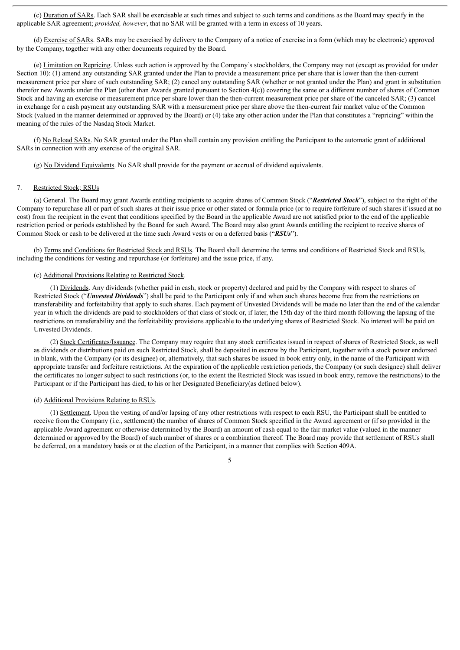(c) Duration of SARs. Each SAR shall be exercisable at such times and subject to such terms and conditions as the Board may specify in the applicable SAR agreement; *provided, however*, that no SAR will be granted with a term in excess of 10 years.

(d) Exercise of SARs. SARs may be exercised by delivery to the Company of a notice of exercise in a form (which may be electronic) approved by the Company, together with any other documents required by the Board.

(e) Limitation on Repricing. Unless such action is approved by the Company's stockholders, the Company may not (except as provided for under Section 10): (1) amend any outstanding SAR granted under the Plan to provide a measurement price per share that is lower than the then-current measurement price per share of such outstanding SAR; (2) cancel any outstanding SAR (whether or not granted under the Plan) and grant in substitution therefor new Awards under the Plan (other than Awards granted pursuant to Section 4(c)) covering the same or a different number of shares of Common Stock and having an exercise or measurement price per share lower than the then-current measurement price per share of the canceled SAR; (3) cancel in exchange for a cash payment any outstanding SAR with a measurement price per share above the then-current fair market value of the Common Stock (valued in the manner determined or approved by the Board) or (4) take any other action under the Plan that constitutes a "repricing" within the meaning of the rules of the Nasdaq Stock Market.

(f) No Reload SARs. No SAR granted under the Plan shall contain any provision entitling the Participant to the automatic grant of additional SARs in connection with any exercise of the original SAR.

(g) No Dividend Equivalents. No SAR shall provide for the payment or accrual of dividend equivalents.

#### 7. Restricted Stock; RSUs

(a) General. The Board may grant Awards entitling recipients to acquire shares of Common Stock ("*Restricted Stock*"), subject to the right of the Company to repurchase all or part of such shares at their issue price or other stated or formula price (or to require forfeiture of such shares if issued at no cost) from the recipient in the event that conditions specified by the Board in the applicable Award are not satisfied prior to the end of the applicable restriction period or periods established by the Board for such Award. The Board may also grant Awards entitling the recipient to receive shares of Common Stock or cash to be delivered at the time such Award vests or on a deferred basis ("*RSUs*").

(b) Terms and Conditions for Restricted Stock and RSUs. The Board shall determine the terms and conditions of Restricted Stock and RSUs, including the conditions for vesting and repurchase (or forfeiture) and the issue price, if any.

### (c) Additional Provisions Relating to Restricted Stock.

(1) Dividends. Any dividends (whether paid in cash, stock or property) declared and paid by the Company with respect to shares of Restricted Stock ("*Unvested Dividends*") shall be paid to the Participant only if and when such shares become free from the restrictions on transferability and forfeitability that apply to such shares. Each payment of Unvested Dividends will be made no later than the end of the calendar year in which the dividends are paid to stockholders of that class of stock or, if later, the 15th day of the third month following the lapsing of the restrictions on transferability and the forfeitability provisions applicable to the underlying shares of Restricted Stock. No interest will be paid on Unvested Dividends.

(2) Stock Certificates/Issuance. The Company may require that any stock certificates issued in respect of shares of Restricted Stock, as well as dividends or distributions paid on such Restricted Stock, shall be deposited in escrow by the Participant, together with a stock power endorsed in blank, with the Company (or its designee) or, alternatively, that such shares be issued in book entry only, in the name of the Participant with appropriate transfer and forfeiture restrictions. At the expiration of the applicable restriction periods, the Company (or such designee) shall deliver the certificates no longer subject to such restrictions (or, to the extent the Restricted Stock was issued in book entry, remove the restrictions) to the Participant or if the Participant has died, to his or her Designated Beneficiary(as defined below).

#### (d) Additional Provisions Relating to RSUs.

(1) Settlement. Upon the vesting of and/or lapsing of any other restrictions with respect to each RSU, the Participant shall be entitled to receive from the Company (i.e., settlement) the number of shares of Common Stock specified in the Award agreement or (if so provided in the applicable Award agreement or otherwise determined by the Board) an amount of cash equal to the fair market value (valued in the manner determined or approved by the Board) of such number of shares or a combination thereof. The Board may provide that settlement of RSUs shall be deferred, on a mandatory basis or at the election of the Participant, in a manner that complies with Section 409A.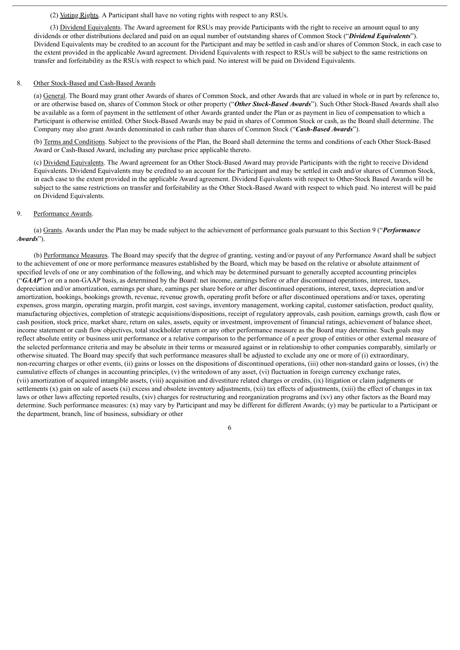# (2) Voting Rights. A Participant shall have no voting rights with respect to any RSUs.

(3) Dividend Equivalents. The Award agreement for RSUs may provide Participants with the right to receive an amount equal to any dividends or other distributions declared and paid on an equal number of outstanding shares of Common Stock ("*Dividend Equivalents*"). Dividend Equivalents may be credited to an account for the Participant and may be settled in cash and/or shares of Common Stock, in each case to the extent provided in the applicable Award agreement. Dividend Equivalents with respect to RSUs will be subject to the same restrictions on transfer and forfeitability as the RSUs with respect to which paid. No interest will be paid on Dividend Equivalents.

#### 8. Other Stock-Based and Cash-Based Awards

(a) General. The Board may grant other Awards of shares of Common Stock, and other Awards that are valued in whole or in part by reference to, or are otherwise based on, shares of Common Stock or other property ("*Other Stock-Based Awards*"). Such Other Stock-Based Awards shall also be available as a form of payment in the settlement of other Awards granted under the Plan or as payment in lieu of compensation to which a Participant is otherwise entitled. Other Stock-Based Awards may be paid in shares of Common Stock or cash, as the Board shall determine. The Company may also grant Awards denominated in cash rather than shares of Common Stock ("*Cash-Based Awards*").

(b) Terms and Conditions. Subject to the provisions of the Plan, the Board shall determine the terms and conditions of each Other Stock-Based Award or Cash-Based Award, including any purchase price applicable thereto.

(c) Dividend Equivalents. The Award agreement for an Other Stock-Based Award may provide Participants with the right to receive Dividend Equivalents. Dividend Equivalents may be credited to an account for the Participant and may be settled in cash and/or shares of Common Stock, in each case to the extent provided in the applicable Award agreement. Dividend Equivalents with respect to Other-Stock Based Awards will be subject to the same restrictions on transfer and forfeitability as the Other Stock-Based Award with respect to which paid. No interest will be paid on Dividend Equivalents.

# 9. Performance Awards.

(a) Grants. Awards under the Plan may be made subject to the achievement of performance goals pursuant to this Section 9 ("*Performance Awards*").

(b) Performance Measures. The Board may specify that the degree of granting, vesting and/or payout of any Performance Award shall be subject to the achievement of one or more performance measures established by the Board, which may be based on the relative or absolute attainment of specified levels of one or any combination of the following, and which may be determined pursuant to generally accepted accounting principles ("GAAP") or on a non-GAAP basis, as determined by the Board: net income, earnings before or after discontinued operations, interest, taxes, depreciation and/or amortization, earnings per share, earnings per share before or after discontinued operations, interest, taxes, depreciation and/or amortization, bookings, bookings growth, revenue, revenue growth, operating profit before or after discontinued operations and/or taxes, operating expenses, gross margin, operating margin, profit margin, cost savings, inventory management, working capital, customer satisfaction, product quality, manufacturing objectives, completion of strategic acquisitions/dispositions, receipt of regulatory approvals, cash position, earnings growth, cash flow or cash position, stock price, market share, return on sales, assets, equity or investment, improvement of financial ratings, achievement of balance sheet, income statement or cash flow objectives, total stockholder return or any other performance measure as the Board may determine. Such goals may reflect absolute entity or business unit performance or a relative comparison to the performance of a peer group of entities or other external measure of the selected performance criteria and may be absolute in their terms or measured against or in relationship to other companies comparably, similarly or otherwise situated. The Board may specify that such performance measures shall be adjusted to exclude any one or more of (i) extraordinary, non-recurring charges or other events, (ii) gains or losses on the dispositions of discontinued operations, (iii) other non-standard gains or losses, (iv) the cumulative effects of changes in accounting principles, (v) the writedown of any asset, (vi) fluctuation in foreign currency exchange rates, (vii) amortization of acquired intangible assets, (viii) acquisition and divestiture related charges or credits, (ix) litigation or claim judgments or settlements (x) gain on sale of assets (xi) excess and obsolete inventory adjustments, (xii) tax effects of adjustments, (xiii) the effect of changes in tax laws or other laws affecting reported results, (xiv) charges for restructuring and reorganization programs and (xv) any other factors as the Board may determine. Such performance measures: (x) may vary by Participant and may be different for different Awards; (y) may be particular to a Participant or the department, branch, line of business, subsidiary or other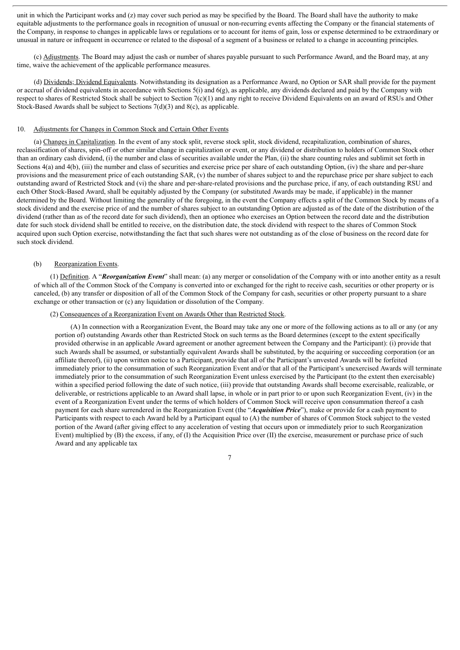unit in which the Participant works and (z) may cover such period as may be specified by the Board. The Board shall have the authority to make equitable adjustments to the performance goals in recognition of unusual or non-recurring events affecting the Company or the financial statements of the Company, in response to changes in applicable laws or regulations or to account for items of gain, loss or expense determined to be extraordinary or unusual in nature or infrequent in occurrence or related to the disposal of a segment of a business or related to a change in accounting principles.

(c) Adjustments. The Board may adjust the cash or number of shares payable pursuant to such Performance Award, and the Board may, at any time, waive the achievement of the applicable performance measures.

(d) Dividends; Dividend Equivalents. Notwithstanding its designation as a Performance Award, no Option or SAR shall provide for the payment or accrual of dividend equivalents in accordance with Sections  $5(i)$  and  $6(g)$ , as applicable, any dividends declared and paid by the Company with respect to shares of Restricted Stock shall be subject to Section 7(c)(1) and any right to receive Dividend Equivalents on an award of RSUs and Other Stock-Based Awards shall be subject to Sections 7(d)(3) and 8(c), as applicable.

#### 10. Adjustments for Changes in Common Stock and Certain Other Events

(a) Changes in Capitalization. In the event of any stock split, reverse stock split, stock dividend, recapitalization, combination of shares, reclassification of shares, spin-off or other similar change in capitalization or event, or any dividend or distribution to holders of Common Stock other than an ordinary cash dividend, (i) the number and class of securities available under the Plan, (ii) the share counting rules and sublimit set forth in Sections 4(a) and 4(b), (iii) the number and class of securities and exercise price per share of each outstanding Option, (iv) the share and per-share provisions and the measurement price of each outstanding SAR, (v) the number of shares subject to and the repurchase price per share subject to each outstanding award of Restricted Stock and (vi) the share and per-share-related provisions and the purchase price, if any, of each outstanding RSU and each Other Stock-Based Award, shall be equitably adjusted by the Company (or substituted Awards may be made, if applicable) in the manner determined by the Board. Without limiting the generality of the foregoing, in the event the Company effects a split of the Common Stock by means of a stock dividend and the exercise price of and the number of shares subject to an outstanding Option are adjusted as of the date of the distribution of the dividend (rather than as of the record date for such dividend), then an optionee who exercises an Option between the record date and the distribution date for such stock dividend shall be entitled to receive, on the distribution date, the stock dividend with respect to the shares of Common Stock acquired upon such Option exercise, notwithstanding the fact that such shares were not outstanding as of the close of business on the record date for such stock dividend.

#### (b) Reorganization Events.

(1) Definition. A "*Reorganization Event*" shall mean: (a) any merger or consolidation of the Company with or into another entity as a result of which all of the Common Stock of the Company is converted into or exchanged for the right to receive cash, securities or other property or is canceled, (b) any transfer or disposition of all of the Common Stock of the Company for cash, securities or other property pursuant to a share exchange or other transaction or (c) any liquidation or dissolution of the Company.

#### (2) Consequences of a Reorganization Event on Awards Other than Restricted Stock.

(A) In connection with a Reorganization Event, the Board may take any one or more of the following actions as to all or any (or any portion of) outstanding Awards other than Restricted Stock on such terms as the Board determines (except to the extent specifically provided otherwise in an applicable Award agreement or another agreement between the Company and the Participant): (i) provide that such Awards shall be assumed, or substantially equivalent Awards shall be substituted, by the acquiring or succeeding corporation (or an affiliate thereof), (ii) upon written notice to a Participant, provide that all of the Participant's unvested Awards will be forfeited immediately prior to the consummation of such Reorganization Event and/or that all of the Participant's unexercised Awards will terminate immediately prior to the consummation of such Reorganization Event unless exercised by the Participant (to the extent then exercisable) within a specified period following the date of such notice, (iii) provide that outstanding Awards shall become exercisable, realizable, or deliverable, or restrictions applicable to an Award shall lapse, in whole or in part prior to or upon such Reorganization Event, (iv) in the event of a Reorganization Event under the terms of which holders of Common Stock will receive upon consummation thereof a cash payment for each share surrendered in the Reorganization Event (the "*Acquisition Price*"), make or provide for a cash payment to Participants with respect to each Award held by a Participant equal to (A) the number of shares of Common Stock subject to the vested portion of the Award (after giving effect to any acceleration of vesting that occurs upon or immediately prior to such Reorganization Event) multiplied by (B) the excess, if any, of (I) the Acquisition Price over (II) the exercise, measurement or purchase price of such Award and any applicable tax

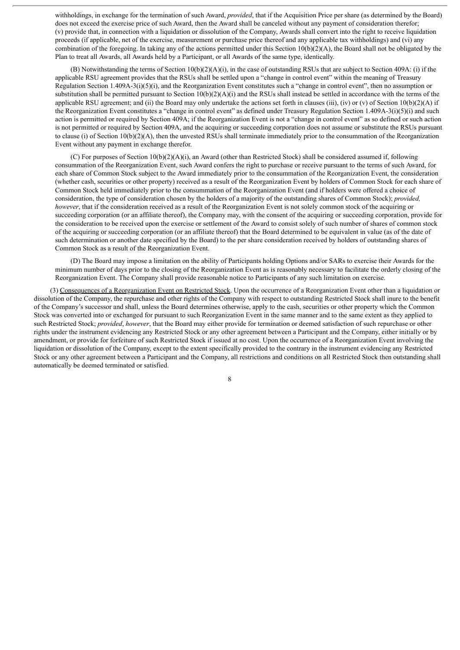withholdings, in exchange for the termination of such Award, *provided*, that if the Acquisition Price per share (as determined by the Board) does not exceed the exercise price of such Award, then the Award shall be canceled without any payment of consideration therefor; (v) provide that, in connection with a liquidation or dissolution of the Company, Awards shall convert into the right to receive liquidation proceeds (if applicable, net of the exercise, measurement or purchase price thereof and any applicable tax withholdings) and (vi) any combination of the foregoing. In taking any of the actions permitted under this Section  $10(b)(2)(A)$ , the Board shall not be obligated by the Plan to treat all Awards, all Awards held by a Participant, or all Awards of the same type, identically.

(B) Notwithstanding the terms of Section  $10(b)(2)(A)(i)$ , in the case of outstanding RSUs that are subject to Section 409A: (i) if the applicable RSU agreement provides that the RSUs shall be settled upon a "change in control event" within the meaning of Treasury Regulation Section 1.409A-3(i)(5)(i), and the Reorganization Event constitutes such a "change in control event", then no assumption or substitution shall be permitted pursuant to Section  $10(b)(2)(A)(i)$  and the RSUs shall instead be settled in accordance with the terms of the applicable RSU agreement; and (ii) the Board may only undertake the actions set forth in clauses (iii), (iv) or (v) of Section 10(b)(2)(A) if the Reorganization Event constitutes a "change in control event" as defined under Treasury Regulation Section 1.409A-3(i)(5)(i) and such action is permitted or required by Section 409A; if the Reorganization Event is not a "change in control event" as so defined or such action is not permitted or required by Section 409A, and the acquiring or succeeding corporation does not assume or substitute the RSUs pursuant to clause (i) of Section 10(b)(2)(A), then the unvested RSUs shall terminate immediately prior to the consummation of the Reorganization Event without any payment in exchange therefor.

(C) For purposes of Section  $10(b)(2)(A)(i)$ , an Award (other than Restricted Stock) shall be considered assumed if, following consummation of the Reorganization Event, such Award confers the right to purchase or receive pursuant to the terms of such Award, for each share of Common Stock subject to the Award immediately prior to the consummation of the Reorganization Event, the consideration (whether cash, securities or other property) received as a result of the Reorganization Event by holders of Common Stock for each share of Common Stock held immediately prior to the consummation of the Reorganization Event (and if holders were offered a choice of consideration, the type of consideration chosen by the holders of a majority of the outstanding shares of Common Stock); *provided, however*, that if the consideration received as a result of the Reorganization Event is not solely common stock of the acquiring or succeeding corporation (or an affiliate thereof), the Company may, with the consent of the acquiring or succeeding corporation, provide for the consideration to be received upon the exercise or settlement of the Award to consist solely of such number of shares of common stock of the acquiring or succeeding corporation (or an affiliate thereof) that the Board determined to be equivalent in value (as of the date of such determination or another date specified by the Board) to the per share consideration received by holders of outstanding shares of Common Stock as a result of the Reorganization Event.

(D) The Board may impose a limitation on the ability of Participants holding Options and/or SARs to exercise their Awards for the minimum number of days prior to the closing of the Reorganization Event as is reasonably necessary to facilitate the orderly closing of the Reorganization Event. The Company shall provide reasonable notice to Participants of any such limitation on exercise.

(3) Consequences of a Reorganization Event on Restricted Stock. Upon the occurrence of a Reorganization Event other than a liquidation or dissolution of the Company, the repurchase and other rights of the Company with respect to outstanding Restricted Stock shall inure to the benefit of the Company's successor and shall, unless the Board determines otherwise, apply to the cash, securities or other property which the Common Stock was converted into or exchanged for pursuant to such Reorganization Event in the same manner and to the same extent as they applied to such Restricted Stock; *provided*, *however*, that the Board may either provide for termination or deemed satisfaction of such repurchase or other rights under the instrument evidencing any Restricted Stock or any other agreement between a Participant and the Company, either initially or by amendment, or provide for forfeiture of such Restricted Stock if issued at no cost. Upon the occurrence of a Reorganization Event involving the liquidation or dissolution of the Company, except to the extent specifically provided to the contrary in the instrument evidencing any Restricted Stock or any other agreement between a Participant and the Company, all restrictions and conditions on all Restricted Stock then outstanding shall automatically be deemed terminated or satisfied.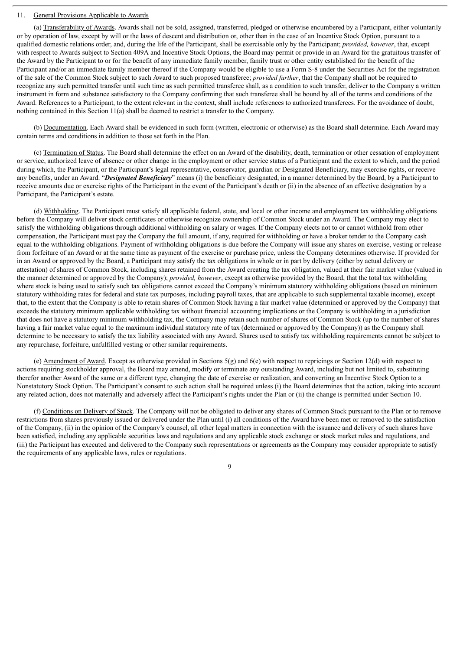# 11. General Provisions Applicable to Awards

(a) Transferability of Awards. Awards shall not be sold, assigned, transferred, pledged or otherwise encumbered by a Participant, either voluntarily or by operation of law, except by will or the laws of descent and distribution or, other than in the case of an Incentive Stock Option, pursuant to a qualified domestic relations order, and, during the life of the Participant, shall be exercisable only by the Participant; *provided, however*, that, except with respect to Awards subject to Section 409A and Incentive Stock Options, the Board may permit or provide in an Award for the gratuitous transfer of the Award by the Participant to or for the benefit of any immediate family member, family trust or other entity established for the benefit of the Participant and/or an immediate family member thereof if the Company would be eligible to use a Form S-8 under the Securities Act for the registration of the sale of the Common Stock subject to such Award to such proposed transferee; *provided further*, that the Company shall not be required to recognize any such permitted transfer until such time as such permitted transferee shall, as a condition to such transfer, deliver to the Company a written instrument in form and substance satisfactory to the Company confirming that such transferee shall be bound by all of the terms and conditions of the Award. References to a Participant, to the extent relevant in the context, shall include references to authorized transferees. For the avoidance of doubt, nothing contained in this Section 11(a) shall be deemed to restrict a transfer to the Company.

(b) Documentation. Each Award shall be evidenced in such form (written, electronic or otherwise) as the Board shall determine. Each Award may contain terms and conditions in addition to those set forth in the Plan.

(c) Termination of Status. The Board shall determine the effect on an Award of the disability, death, termination or other cessation of employment or service, authorized leave of absence or other change in the employment or other service status of a Participant and the extent to which, and the period during which, the Participant, or the Participant's legal representative, conservator, guardian or Designated Beneficiary, may exercise rights, or receive any benefits, under an Award. "*Designated Beneficiary*" means (i) the beneficiary designated, in a manner determined by the Board, by a Participant to receive amounts due or exercise rights of the Participant in the event of the Participant's death or (ii) in the absence of an effective designation by a Participant, the Participant's estate.

(d) Withholding. The Participant must satisfy all applicable federal, state, and local or other income and employment tax withholding obligations before the Company will deliver stock certificates or otherwise recognize ownership of Common Stock under an Award. The Company may elect to satisfy the withholding obligations through additional withholding on salary or wages. If the Company elects not to or cannot withhold from other compensation, the Participant must pay the Company the full amount, if any, required for withholding or have a broker tender to the Company cash equal to the withholding obligations. Payment of withholding obligations is due before the Company will issue any shares on exercise, vesting or release from forfeiture of an Award or at the same time as payment of the exercise or purchase price, unless the Company determines otherwise. If provided for in an Award or approved by the Board, a Participant may satisfy the tax obligations in whole or in part by delivery (either by actual delivery or attestation) of shares of Common Stock, including shares retained from the Award creating the tax obligation, valued at their fair market value (valued in the manner determined or approved by the Company); *provided, however*, except as otherwise provided by the Board, that the total tax withholding where stock is being used to satisfy such tax obligations cannot exceed the Company's minimum statutory withholding obligations (based on minimum statutory withholding rates for federal and state tax purposes, including payroll taxes, that are applicable to such supplemental taxable income), except that, to the extent that the Company is able to retain shares of Common Stock having a fair market value (determined or approved by the Company) that exceeds the statutory minimum applicable withholding tax without financial accounting implications or the Company is withholding in a jurisdiction that does not have a statutory minimum withholding tax, the Company may retain such number of shares of Common Stock (up to the number of shares having a fair market value equal to the maximum individual statutory rate of tax (determined or approved by the Company) as the Company shall determine to be necessary to satisfy the tax liability associated with any Award. Shares used to satisfy tax withholding requirements cannot be subject to any repurchase, forfeiture, unfulfilled vesting or other similar requirements.

(e) Amendment of Award. Except as otherwise provided in Sections  $5(g)$  and  $6(e)$  with respect to repricings or Section 12(d) with respect to actions requiring stockholder approval, the Board may amend, modify or terminate any outstanding Award, including but not limited to, substituting therefor another Award of the same or a different type, changing the date of exercise or realization, and converting an Incentive Stock Option to a Nonstatutory Stock Option. The Participant's consent to such action shall be required unless (i) the Board determines that the action, taking into account any related action, does not materially and adversely affect the Participant's rights under the Plan or (ii) the change is permitted under Section 10.

(f) Conditions on Delivery of Stock. The Company will not be obligated to deliver any shares of Common Stock pursuant to the Plan or to remove restrictions from shares previously issued or delivered under the Plan until (i) all conditions of the Award have been met or removed to the satisfaction of the Company, (ii) in the opinion of the Company's counsel, all other legal matters in connection with the issuance and delivery of such shares have been satisfied, including any applicable securities laws and regulations and any applicable stock exchange or stock market rules and regulations, and (iii) the Participant has executed and delivered to the Company such representations or agreements as the Company may consider appropriate to satisfy the requirements of any applicable laws, rules or regulations.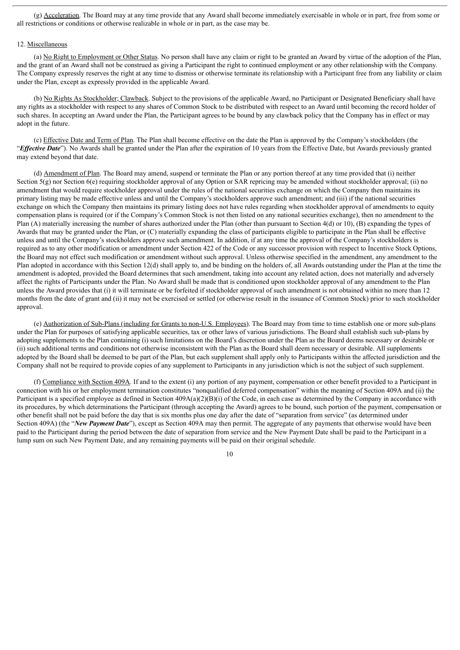(g) Acceleration. The Board may at any time provide that any Award shall become immediately exercisable in whole or in part, free from some or all restrictions or conditions or otherwise realizable in whole or in part, as the case may be.

# 12. Miscellaneous

(a) No Right to Employment or Other Status. No person shall have any claim or right to be granted an Award by virtue of the adoption of the Plan, and the grant of an Award shall not be construed as giving a Participant the right to continued employment or any other relationship with the Company. The Company expressly reserves the right at any time to dismiss or otherwise terminate its relationship with a Participant free from any liability or claim under the Plan, except as expressly provided in the applicable Award.

(b) No Rights As Stockholder; Clawback. Subject to the provisions of the applicable Award, no Participant or Designated Beneficiary shall have any rights as a stockholder with respect to any shares of Common Stock to be distributed with respect to an Award until becoming the record holder of such shares. In accepting an Award under the Plan, the Participant agrees to be bound by any clawback policy that the Company has in effect or may adopt in the future.

(c) Effective Date and Term of Plan. The Plan shall become effective on the date the Plan is approved by the Company's stockholders (the "*Ef ective Date*"). No Awards shall be granted under the Plan after the expiration of 10 years from the Effective Date, but Awards previously granted may extend beyond that date.

(d) Amendment of Plan. The Board may amend, suspend or terminate the Plan or any portion thereof at any time provided that (i) neither Section 5(g) nor Section 6(e) requiring stockholder approval of any Option or SAR repricing may be amended without stockholder approval; (ii) no amendment that would require stockholder approval under the rules of the national securities exchange on which the Company then maintains its primary listing may be made effective unless and until the Company's stockholders approve such amendment; and (iii) if the national securities exchange on which the Company then maintains its primary listing does not have rules regarding when stockholder approval of amendments to equity compensation plans is required (or if the Company's Common Stock is not then listed on any national securities exchange), then no amendment to the Plan (A) materially increasing the number of shares authorized under the Plan (other than pursuant to Section 4(d) or 10), (B) expanding the types of Awards that may be granted under the Plan, or (C) materially expanding the class of participants eligible to participate in the Plan shall be effective unless and until the Company's stockholders approve such amendment. In addition, if at any time the approval of the Company's stockholders is required as to any other modification or amendment under Section 422 of the Code or any successor provision with respect to Incentive Stock Options, the Board may not effect such modification or amendment without such approval. Unless otherwise specified in the amendment, any amendment to the Plan adopted in accordance with this Section 12(d) shall apply to, and be binding on the holders of, all Awards outstanding under the Plan at the time the amendment is adopted, provided the Board determines that such amendment, taking into account any related action, does not materially and adversely affect the rights of Participants under the Plan. No Award shall be made that is conditioned upon stockholder approval of any amendment to the Plan unless the Award provides that (i) it will terminate or be forfeited if stockholder approval of such amendment is not obtained within no more than 12 months from the date of grant and (ii) it may not be exercised or settled (or otherwise result in the issuance of Common Stock) prior to such stockholder approval.

(e) Authorization of Sub-Plans (including for Grants to non-U.S. Employees). The Board may from time to time establish one or more sub-plans under the Plan for purposes of satisfying applicable securities, tax or other laws of various jurisdictions. The Board shall establish such sub-plans by adopting supplements to the Plan containing (i) such limitations on the Board's discretion under the Plan as the Board deems necessary or desirable or (ii) such additional terms and conditions not otherwise inconsistent with the Plan as the Board shall deem necessary or desirable. All supplements adopted by the Board shall be deemed to be part of the Plan, but each supplement shall apply only to Participants within the affected jurisdiction and the Company shall not be required to provide copies of any supplement to Participants in any jurisdiction which is not the subject of such supplement.

(f) Compliance with Section 409A. If and to the extent (i) any portion of any payment, compensation or other benefit provided to a Participant in connection with his or her employment termination constitutes "nonqualified deferred compensation" within the meaning of Section 409A and (ii) the Participant is a specified employee as defined in Section  $409A(a)(2)(B)(i)$  of the Code, in each case as determined by the Company in accordance with its procedures, by which determinations the Participant (through accepting the Award) agrees to be bound, such portion of the payment, compensation or other benefit shall not be paid before the day that is six months plus one day after the date of "separation from service" (as determined under Section 409A) (the "*New Payment Date*"), except as Section 409A may then permit. The aggregate of any payments that otherwise would have been paid to the Participant during the period between the date of separation from service and the New Payment Date shall be paid to the Participant in a lump sum on such New Payment Date, and any remaining payments will be paid on their original schedule.

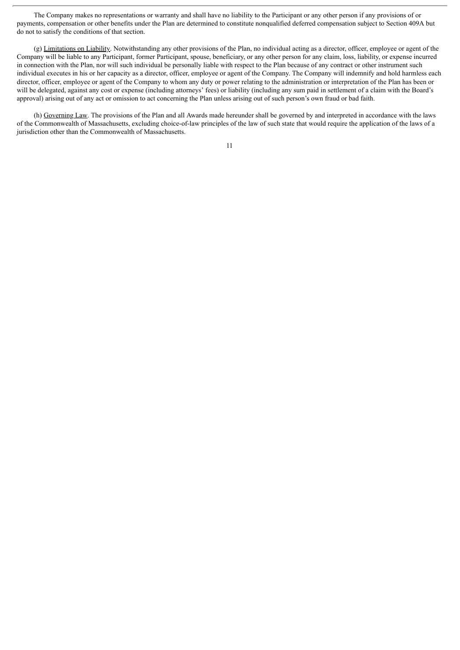The Company makes no representations or warranty and shall have no liability to the Participant or any other person if any provisions of or payments, compensation or other benefits under the Plan are determined to constitute nonqualified deferred compensation subject to Section 409A but do not to satisfy the conditions of that section.

(g) Limitations on Liability. Notwithstanding any other provisions of the Plan, no individual acting as a director, officer, employee or agent of the Company will be liable to any Participant, former Participant, spouse, beneficiary, or any other person for any claim, loss, liability, or expense incurred in connection with the Plan, nor will such individual be personally liable with respect to the Plan because of any contract or other instrument such individual executes in his or her capacity as a director, officer, employee or agent of the Company. The Company will indemnify and hold harmless each director, officer, employee or agent of the Company to whom any duty or power relating to the administration or interpretation of the Plan has been or will be delegated, against any cost or expense (including attorneys' fees) or liability (including any sum paid in settlement of a claim with the Board's approval) arising out of any act or omission to act concerning the Plan unless arising out of such person's own fraud or bad faith.

(h) Governing Law. The provisions of the Plan and all Awards made hereunder shall be governed by and interpreted in accordance with the laws of the Commonwealth of Massachusetts, excluding choice-of-law principles of the law of such state that would require the application of the laws of a jurisdiction other than the Commonwealth of Massachusetts.